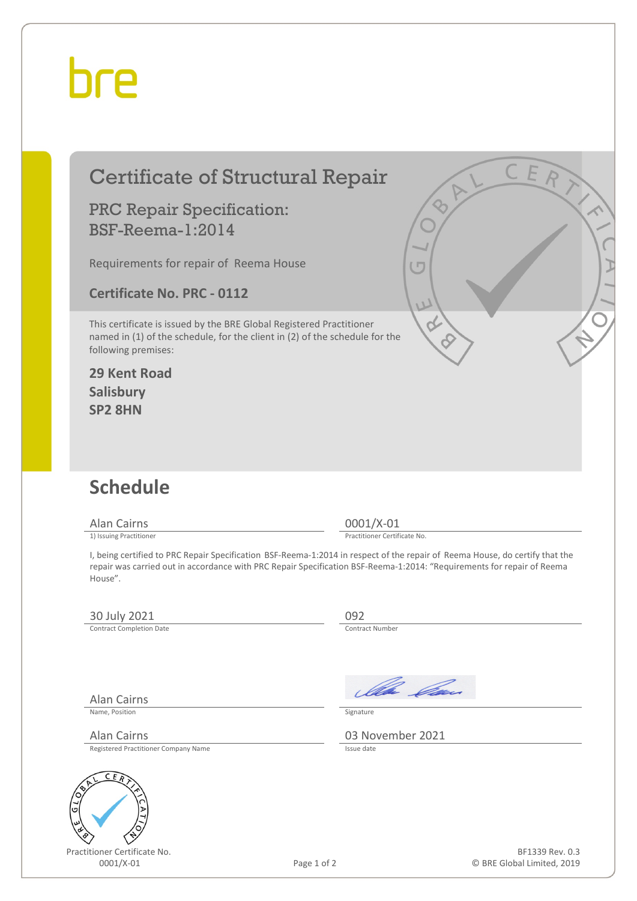## hre

## Certificate of Structural Repair

#### PRC Repair Specification: BSF-Reema-1:2014

Requirements for repair of Reema House

**Certificate No. PRC - 0112**

This certificate is issued by the BRE Global Registered Practitioner named in (1) of the schedule, for the client in (2) of the schedule for the following premises:

#### **29 Kent Road Salisbury SP2 8HN**

## **Schedule**

Alan Cairns 0001/X-01<br>
1) Issuing Practitioner<br>
1) Issuing Practitioner

Practitioner Certificate No.

I, being certified to PRC Repair Specification BSF-Reema-1:2014 in respect of the repair of Reema House, do certify that the repair was carried out in accordance with PRC Repair Specification BSF-Reema-1:2014: "Requirements for repair of Reema House".

### 30 July 2021 092<br>
Contract Completion Date

Alan Cairns

Contract Completion Date

Ila *Ca* 

Name, Position Signature

Alan Cairns 03 November 2021

Registered Practitioner Company Name



Practitioner Certificate No.